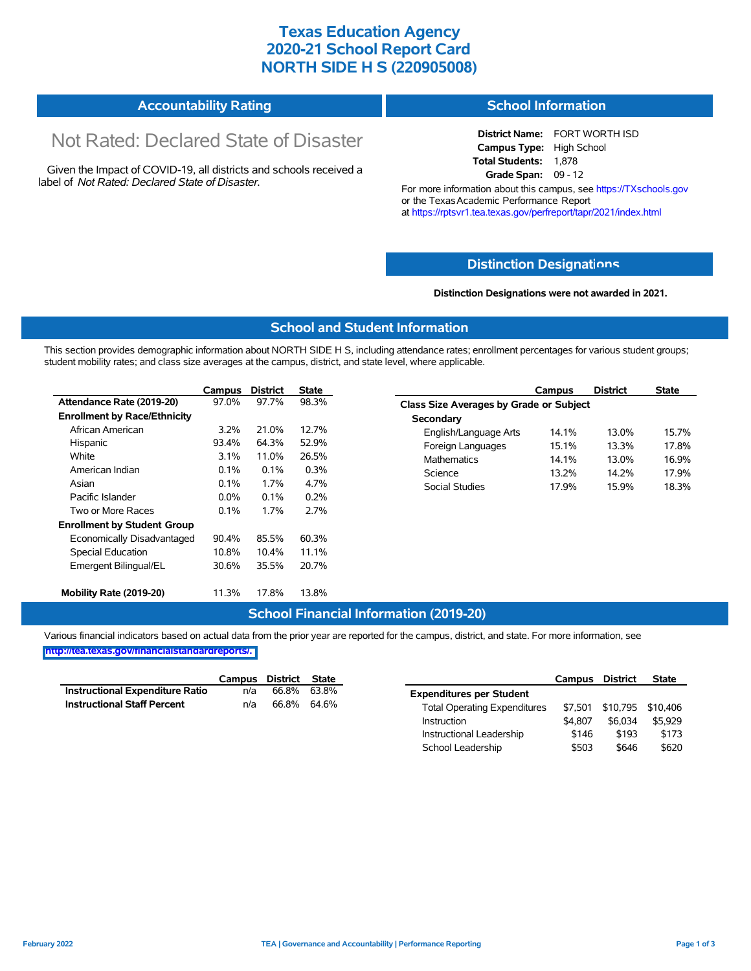### **Texas Education Agency 2020-21 School Report Card NORTH SIDE H S (220905008)**

#### **Accountability Rating School Information**

# Not Rated: Declared State of Disaster

Given the Impact of COVID-19, all districts and schools received a label of *Not Rated: Declared State of Disaster.*

#### **District Name:** FORT WORTH ISD **Campus Type:** High School **Total Students:** 1,878

**Grade Span:** 09 - 12

For more information about this campus, see https://TXschools.gov or the Texas Academic Performance Report at https://rptsvr1.tea.texas.gov/perfreport/tapr/2021/index.html

### **Distinction Designat[ions](https://TXschools.gov)**

**Distinction Designations were not awarded in 2021.**

School Leadership  $$503$  \$646 \$620

#### **School and Student Information**

This section provides demographic information about NORTH SIDE H S, including attendance rates; enrollment percentages for various student groups; student mobility rates; and class size averages at the campus, district, and state level, where applicable.

|                                     | Campus  | <b>District</b> | <b>State</b> | <b>District</b><br><b>State</b><br>Campus        |
|-------------------------------------|---------|-----------------|--------------|--------------------------------------------------|
| Attendance Rate (2019-20)           | 97.0%   | 97.7%           | 98.3%        | Class Size Averages by Grade or Subject          |
| <b>Enrollment by Race/Ethnicity</b> |         |                 |              | Secondary                                        |
| African American                    | $3.2\%$ | 21.0%           | 12.7%        | 13.0%<br>15.7%<br>English/Language Arts<br>14.1% |
| Hispanic                            | 93.4%   | 64.3%           | 52.9%        | 15.1%<br>13.3%<br>17.8%<br>Foreign Languages     |
| White                               | $3.1\%$ | 11.0%           | 26.5%        | <b>Mathematics</b><br>16.9%<br>14.1%<br>13.0%    |
| American Indian                     | 0.1%    | 0.1%            | 0.3%         | Science<br>13.2%<br>14.2%<br>17.9%               |
| Asian                               | 0.1%    | 1.7%            | 4.7%         | 18.3%<br><b>Social Studies</b><br>17.9%<br>15.9% |
| Pacific Islander                    | $0.0\%$ | 0.1%            | 0.2%         |                                                  |
| Two or More Races                   | 0.1%    | 1.7%            | 2.7%         |                                                  |
| <b>Enrollment by Student Group</b>  |         |                 |              |                                                  |
| Economically Disadvantaged          | 90.4%   | 85.5%           | 60.3%        |                                                  |
| Special Education                   | 10.8%   | 10.4%           | 11.1%        |                                                  |
| Emergent Bilingual/EL               | 30.6%   | 35.5%           | 20.7%        |                                                  |
| Mobility Rate (2019-20)             | 11.3%   | 17.8%           | 13.8%        |                                                  |

#### **School Financial Information (2019-20)**

Various financial indicators based on actual data from the prior year are reported for the campus, district, and state. For more information, see

**[http://tea.texas.gov/financialstandardreports/.](http://tea.texas.gov/financialstandardreports/)**

|                                        | Campus | District | State |                                     | Campus  | <b>District</b>           | <b>State</b> |
|----------------------------------------|--------|----------|-------|-------------------------------------|---------|---------------------------|--------------|
| <b>Instructional Expenditure Ratio</b> | n/a    | 66.8%    | 63.8% | <b>Expenditures per Student</b>     |         |                           |              |
| <b>Instructional Staff Percent</b>     | n/a    | 66.8%    | 64.6% | <b>Total Operating Expenditures</b> |         | \$7,501 \$10,795 \$10,406 |              |
|                                        |        |          |       | Instruction                         | \$4,807 | \$6.034                   | \$5.929      |
|                                        |        |          |       | Instructional Leadership            | \$146   | \$193                     | \$173        |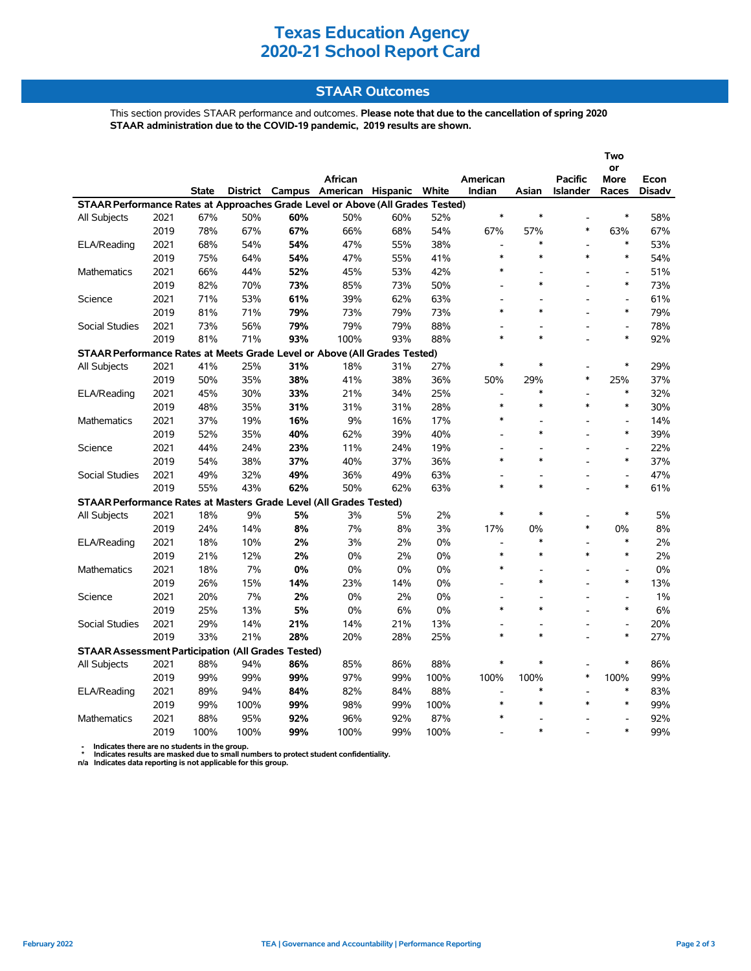### **Texas Education Agency 2020-21 School Report Card**

#### **STAAR Outcomes**

This section provides STAAR performance and outcomes. **Please note that due to the cancellation of spring 2020 STAAR administration due to the COVID-19 pandemic, 2019 results are shown.**

|                                                                                |      |              |                 |        |                              |     |       |                    |                |                                   | Two                      |        |
|--------------------------------------------------------------------------------|------|--------------|-----------------|--------|------------------------------|-----|-------|--------------------|----------------|-----------------------------------|--------------------------|--------|
|                                                                                |      |              |                 |        |                              |     |       |                    |                |                                   | or                       |        |
|                                                                                |      | <b>State</b> | <b>District</b> | Campus | African<br>American Hispanic |     | White | American<br>Indian | Asian          | <b>Pacific</b><br><b>Islander</b> | More                     | Econ   |
| STAAR Performance Rates at Approaches Grade Level or Above (All Grades Tested) |      |              |                 |        |                              |     |       |                    |                |                                   | Races                    | Disadv |
| All Subjects                                                                   | 2021 | 67%          | 50%             | 60%    | 50%                          | 60% | 52%   | $\ast$             | $\ast$         |                                   | $\ast$                   | 58%    |
|                                                                                | 2019 | 78%          | 67%             | 67%    | 66%                          | 68% | 54%   | 67%                | 57%            | $\ast$                            | 63%                      | 67%    |
| ELA/Reading                                                                    | 2021 | 68%          | 54%             | 54%    | 47%                          | 55% | 38%   | $\overline{a}$     | $\ast$         |                                   | $\ast$                   | 53%    |
|                                                                                | 2019 | 75%          |                 | 54%    | 47%                          | 55% | 41%   | $\ast$             | $\ast$         | $\ast$                            | $\ast$                   | 54%    |
|                                                                                | 2021 | 66%          | 64%             |        | 45%                          | 53% | 42%   | $\ast$             |                |                                   | $\overline{a}$           |        |
| <b>Mathematics</b>                                                             | 2019 |              | 44%             | 52%    |                              |     |       |                    | $\ast$         |                                   | $\ast$                   | 51%    |
|                                                                                |      | 82%          | 70%             | 73%    | 85%                          | 73% | 50%   |                    |                |                                   |                          | 73%    |
| Science                                                                        | 2021 | 71%          | 53%             | 61%    | 39%                          | 62% | 63%   | $\ast$             | $\ast$         | $\overline{a}$                    | $\overline{a}$<br>$\ast$ | 61%    |
|                                                                                | 2019 | 81%          | 71%             | 79%    | 73%                          | 79% | 73%   |                    |                |                                   |                          | 79%    |
| Social Studies                                                                 | 2021 | 73%          | 56%             | 79%    | 79%                          | 79% | 88%   |                    | $\overline{a}$ |                                   | $\overline{a}$<br>$\ast$ | 78%    |
|                                                                                | 2019 | 81%          | 71%             | 93%    | 100%                         | 93% | 88%   | $\ast$             | $\ast$         |                                   |                          | 92%    |
| STAAR Performance Rates at Meets Grade Level or Above (All Grades Tested)      |      |              |                 |        |                              |     |       |                    |                |                                   |                          |        |
| All Subjects                                                                   | 2021 | 41%          | 25%             | 31%    | 18%                          | 31% | 27%   | $\ast$             | $\ast$         |                                   | $\ast$                   | 29%    |
|                                                                                | 2019 | 50%          | 35%             | 38%    | 41%                          | 38% | 36%   | 50%                | 29%            | $\ast$                            | 25%                      | 37%    |
| ELA/Reading                                                                    | 2021 | 45%          | 30%             | 33%    | 21%                          | 34% | 25%   | $\overline{a}$     | $\ast$         | $\overline{a}$                    | $\ast$                   | 32%    |
|                                                                                | 2019 | 48%          | 35%             | 31%    | 31%                          | 31% | 28%   | $\ast$             | $\ast$         | $\ast$                            | $\ast$                   | 30%    |
| Mathematics                                                                    | 2021 | 37%          | 19%             | 16%    | 9%                           | 16% | 17%   | $\ast$             |                | $\overline{a}$                    | $\overline{a}$           | 14%    |
|                                                                                | 2019 | 52%          | 35%             | 40%    | 62%                          | 39% | 40%   |                    | $\ast$         |                                   | $\ast$                   | 39%    |
| Science                                                                        | 2021 | 44%          | 24%             | 23%    | 11%                          | 24% | 19%   |                    |                |                                   | $\overline{a}$           | 22%    |
|                                                                                | 2019 | 54%          | 38%             | 37%    | 40%                          | 37% | 36%   | $\ast$             | $\ast$         |                                   | $\ast$                   | 37%    |
| <b>Social Studies</b>                                                          | 2021 | 49%          | 32%             | 49%    | 36%                          | 49% | 63%   |                    |                |                                   | $\overline{a}$           | 47%    |
|                                                                                | 2019 | 55%          | 43%             | 62%    | 50%                          | 62% | 63%   | $\ast$             | $\ast$         |                                   | *                        | 61%    |
| STAAR Performance Rates at Masters Grade Level (All Grades Tested)             |      |              |                 |        |                              |     |       |                    |                |                                   |                          |        |
| All Subjects                                                                   | 2021 | 18%          | 9%              | 5%     | 3%                           | 5%  | 2%    | $\ast$             | $\ast$         |                                   | $\ast$                   | 5%     |
|                                                                                | 2019 | 24%          | 14%             | 8%     | 7%                           | 8%  | 3%    | 17%                | 0%             | $\ast$                            | 0%                       | 8%     |
| ELA/Reading                                                                    | 2021 | 18%          | 10%             | 2%     | 3%                           | 2%  | 0%    | $\overline{a}$     | $\ast$         |                                   | $\ast$                   | 2%     |
|                                                                                | 2019 | 21%          | 12%             | 2%     | 0%                           | 2%  | 0%    | $\ast$             | $\ast$         | $\ast$                            | $\ast$                   | 2%     |
| <b>Mathematics</b>                                                             | 2021 | 18%          | 7%              | 0%     | 0%                           | 0%  | 0%    | $\ast$             |                |                                   | $\overline{a}$           | 0%     |
|                                                                                | 2019 | 26%          | 15%             | 14%    | 23%                          | 14% | 0%    |                    | $\ast$         |                                   | $\ast$                   | 13%    |
| Science                                                                        | 2021 | 20%          | 7%              | 2%     | $0\%$                        | 2%  | $0\%$ |                    |                |                                   | $\overline{\phantom{a}}$ | 1%     |
|                                                                                | 2019 | 25%          | 13%             | 5%     | 0%                           | 6%  | 0%    | $\ast$             | $\ast$         |                                   | $\ast$                   | $6\%$  |
| <b>Social Studies</b>                                                          | 2021 | 29%          | 14%             | 21%    | 14%                          | 21% | 13%   |                    |                |                                   | $\frac{1}{2}$            | 20%    |
|                                                                                | 2019 | 33%          | 21%             | 28%    | 20%                          | 28% | 25%   | $\ast$             | $\ast$         |                                   | $\ast$                   | 27%    |
| <b>STAAR Assessment Participation (All Grades Tested)</b>                      |      |              |                 |        |                              |     |       |                    |                |                                   |                          |        |
| All Subjects                                                                   | 2021 | 88%          | 94%             | 86%    | 85%                          | 86% | 88%   | $\ast$             | $\ast$         |                                   | ∗                        | 86%    |
|                                                                                | 2019 | 99%          | 99%             | 99%    | 97%                          | 99% | 100%  | 100%               | 100%           | $\ast$                            | 100%                     | 99%    |
| ELA/Reading                                                                    | 2021 | 89%          | 94%             | 84%    | 82%                          | 84% | 88%   |                    | $\ast$         |                                   | $\ast$                   | 83%    |
|                                                                                | 2019 | 99%          | 100%            | 99%    | 98%                          | 99% | 100%  | $\ast$             | $\ast$         | $\ast$                            | $\ast$                   | 99%    |
| <b>Mathematics</b>                                                             | 2021 | 88%          | 95%             | 92%    | 96%                          | 92% | 87%   | $\ast$             |                |                                   |                          | 92%    |
|                                                                                | 2019 | 100%         | 100%            | 99%    | 100%                         | 99% | 100%  |                    | $\ast$         |                                   | $\ast$                   | 99%    |
|                                                                                |      |              |                 |        |                              |     |       |                    |                |                                   |                          |        |

 **- Indicates there are no students in the group. \* Indicates results are masked due to small numbers to protect student confidentiality.**

**n/a Indicates data reporting is not applicable for this group.**